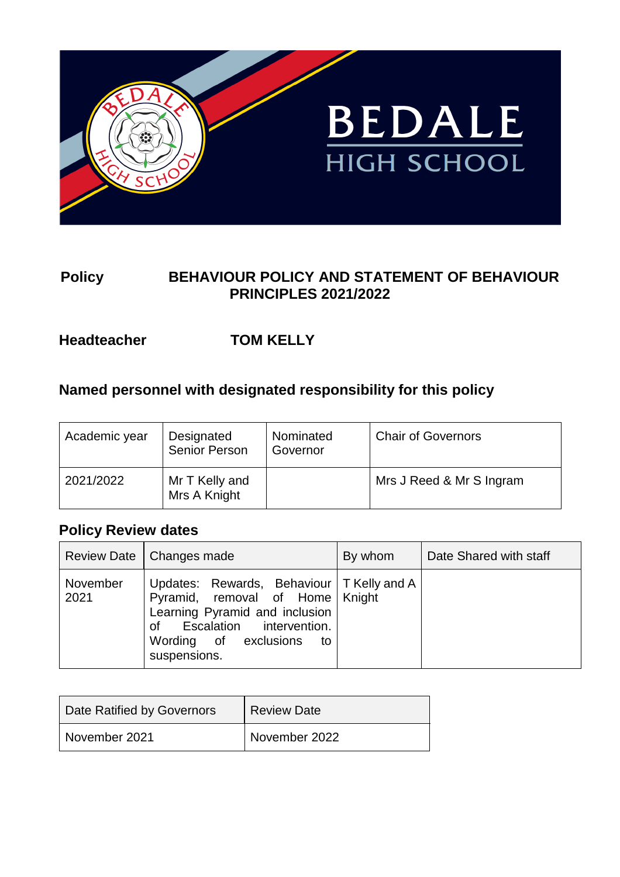

## **Policy BEHAVIOUR POLICY AND STATEMENT OF BEHAVIOUR PRINCIPLES 2021/2022**

## **Headteacher TOM KELLY**

## **Named personnel with designated responsibility for this policy**

| Academic year | Designated<br>Senior Person    | Nominated<br>Governor | <b>Chair of Governors</b> |
|---------------|--------------------------------|-----------------------|---------------------------|
| 2021/2022     | Mr T Kelly and<br>Mrs A Knight |                       | Mrs J Reed & Mr S Ingram  |

## **Policy Review dates**

|                  | Review Date   Changes made                                                                                                                                                                       | By whom | Date Shared with staff |
|------------------|--------------------------------------------------------------------------------------------------------------------------------------------------------------------------------------------------|---------|------------------------|
| November<br>2021 | Updates: Rewards, Behaviour   T Kelly and A<br>Pyramid, removal of Home   Knight<br>Learning Pyramid and inclusion<br>of Escalation intervention.<br>Wording of exclusions<br>to<br>suspensions. |         |                        |

| Date Ratified by Governors | <b>Review Date</b> |
|----------------------------|--------------------|
| November 2021              | November 2022      |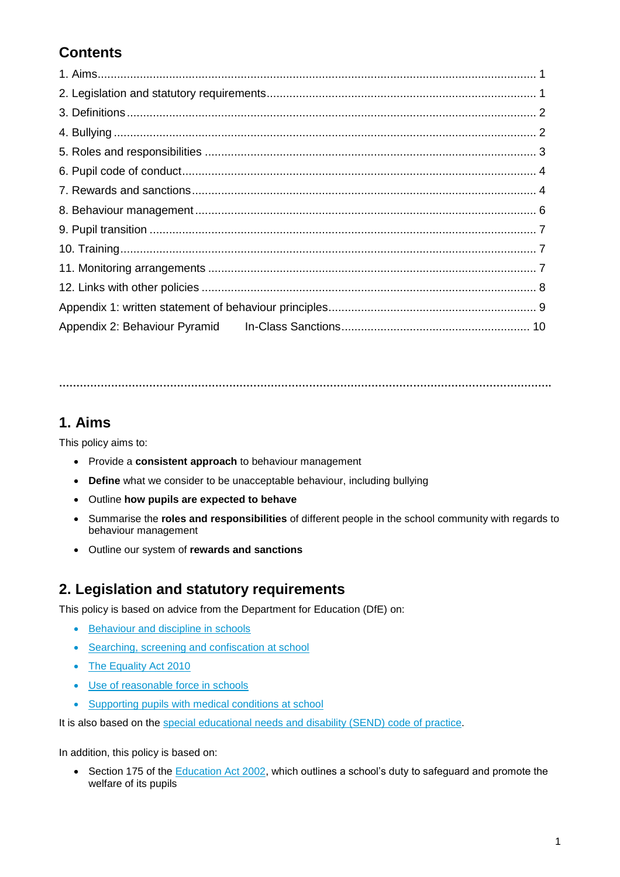# **Contents**

**…………………………………………………………………………………………………………………………….**

## **1. Aims**

This policy aims to:

- Provide a **consistent approach** to behaviour management
- **Define** what we consider to be unacceptable behaviour, including bullying
- Outline **how pupils are expected to behave**
- Summarise the **roles and responsibilities** of different people in the school community with regards to behaviour management
- Outline our system of **rewards and sanctions**

## **2. Legislation and statutory requirements**

This policy is based on advice from the Department for Education (DfE) on:

- [Behaviour and discipline in schools](https://www.gov.uk/government/publications/behaviour-and-discipline-in-schools)
- [Searching, screening and confiscation at school](https://www.gov.uk/government/publications/searching-screening-and-confiscation)
- [The Equality Act 2010](https://www.gov.uk/government/publications/equality-act-2010-advice-for-schools)
- [Use of reasonable force in schools](https://www.gov.uk/government/publications/use-of-reasonable-force-in-schools)
- [Supporting pupils with medical conditions at school](https://www.gov.uk/government/publications/supporting-pupils-at-school-with-medical-conditions--3)

It is also based on the [special educational needs and disability \(SEND\) code of practice.](https://www.gov.uk/government/publications/send-code-of-practice-0-to-25)

In addition, this policy is based on:

• Section 175 of the **Education Act 2002**, which outlines a school's duty to safeguard and promote the welfare of its pupils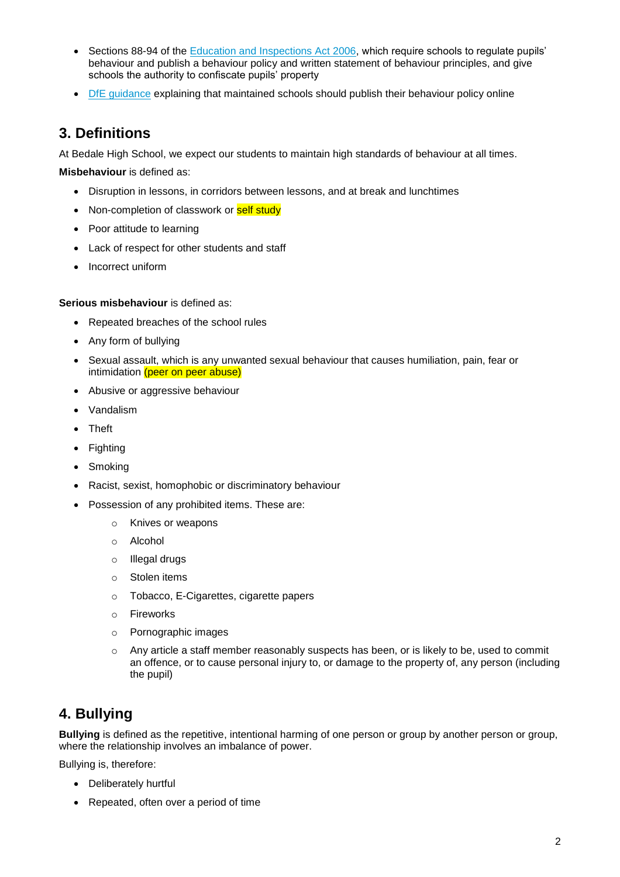- Sections 88-94 of the [Education and Inspections Act 2006,](http://www.legislation.gov.uk/ukpga/2006/40/section/88) which require schools to regulate pupils' behaviour and publish a behaviour policy and written statement of behaviour principles, and give schools the authority to confiscate pupils' property
- [DfE guidance](https://www.gov.uk/guidance/what-maintained-schools-must-publish-online#behaviour-policy) explaining that maintained schools should publish their behaviour policy online

### **3. Definitions**

At Bedale High School, we expect our students to maintain high standards of behaviour at all times.

**Misbehaviour** is defined as:

- Disruption in lessons, in corridors between lessons, and at break and lunchtimes
- Non-completion of classwork or self study
- Poor attitude to learning
- Lack of respect for other students and staff
- Incorrect uniform

### **Serious misbehaviour** is defined as:

- Repeated breaches of the school rules
- Any form of bullying
- Sexual assault, which is any unwanted sexual behaviour that causes humiliation, pain, fear or intimidation (peer on peer abuse)
- Abusive or aggressive behaviour
- Vandalism
- Theft
- Fighting
- Smoking
- Racist, sexist, homophobic or discriminatory behaviour
- Possession of any prohibited items. These are:
	- o Knives or weapons
	- o Alcohol
	- o Illegal drugs
	- o Stolen items
	- o Tobacco, E-Cigarettes, cigarette papers
	- o Fireworks
	- o Pornographic images
	- $\circ$  Any article a staff member reasonably suspects has been, or is likely to be, used to commit an offence, or to cause personal injury to, or damage to the property of, any person (including the pupil)

## **4. Bullying**

**Bullying** is defined as the repetitive, intentional harming of one person or group by another person or group, where the relationship involves an imbalance of power.

Bullying is, therefore:

- Deliberately hurtful
- Repeated, often over a period of time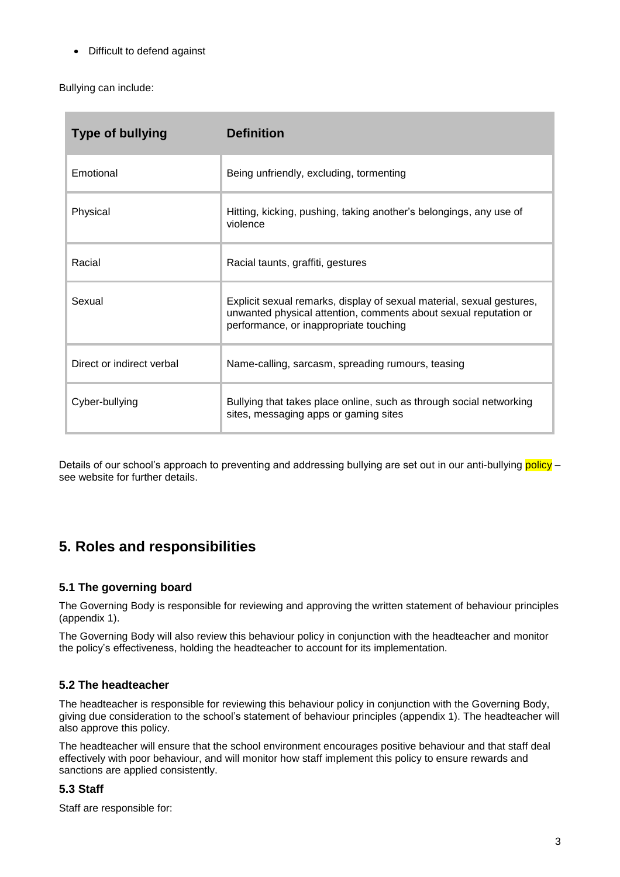Difficult to defend against

Bullying can include:

| <b>Type of bullying</b>   | <b>Definition</b>                                                                                                                                                                   |
|---------------------------|-------------------------------------------------------------------------------------------------------------------------------------------------------------------------------------|
| Emotional                 | Being unfriendly, excluding, tormenting                                                                                                                                             |
| Physical                  | Hitting, kicking, pushing, taking another's belongings, any use of<br>violence                                                                                                      |
| Racial                    | Racial taunts, graffiti, gestures                                                                                                                                                   |
| Sexual                    | Explicit sexual remarks, display of sexual material, sexual gestures,<br>unwanted physical attention, comments about sexual reputation or<br>performance, or inappropriate touching |
| Direct or indirect verbal | Name-calling, sarcasm, spreading rumours, teasing                                                                                                                                   |
| Cyber-bullying            | Bullying that takes place online, such as through social networking<br>sites, messaging apps or gaming sites                                                                        |

Details of our school's approach to preventing and addressing bullying are set out in our anti-bullying policy – see website for further details.

## **5. Roles and responsibilities**

### **5.1 The governing board**

The Governing Body is responsible for reviewing and approving the written statement of behaviour principles (appendix 1).

The Governing Body will also review this behaviour policy in conjunction with the headteacher and monitor the policy's effectiveness, holding the headteacher to account for its implementation.

### **5.2 The headteacher**

The headteacher is responsible for reviewing this behaviour policy in conjunction with the Governing Body, giving due consideration to the school's statement of behaviour principles (appendix 1). The headteacher will also approve this policy.

The headteacher will ensure that the school environment encourages positive behaviour and that staff deal effectively with poor behaviour, and will monitor how staff implement this policy to ensure rewards and sanctions are applied consistently.

### **5.3 Staff**

Staff are responsible for: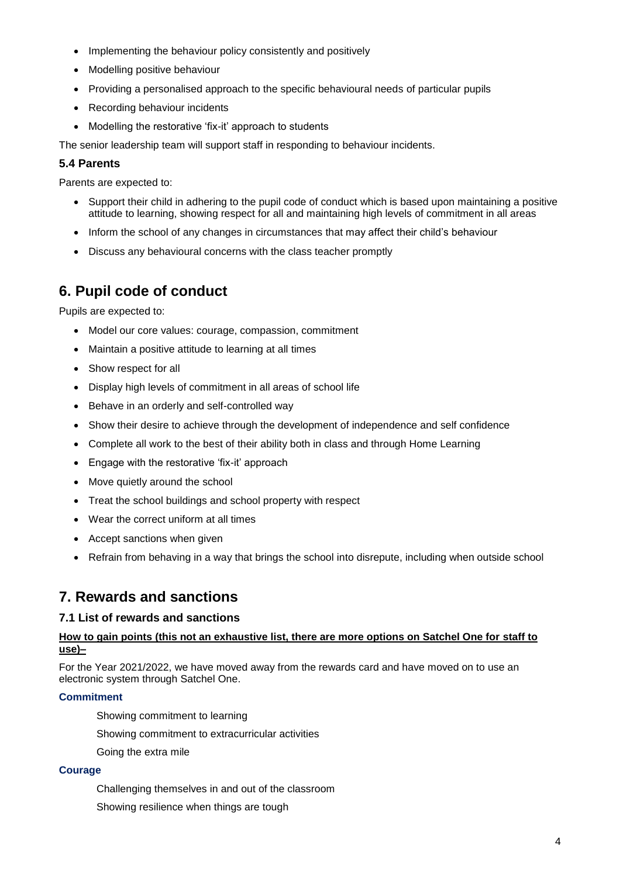- Implementing the behaviour policy consistently and positively
- Modelling positive behaviour
- Providing a personalised approach to the specific behavioural needs of particular pupils
- Recording behaviour incidents
- Modelling the restorative 'fix-it' approach to students

The senior leadership team will support staff in responding to behaviour incidents.

### **5.4 Parents**

Parents are expected to:

- Support their child in adhering to the pupil code of conduct which is based upon maintaining a positive attitude to learning, showing respect for all and maintaining high levels of commitment in all areas
- Inform the school of any changes in circumstances that may affect their child's behaviour
- Discuss any behavioural concerns with the class teacher promptly

## **6. Pupil code of conduct**

Pupils are expected to:

- Model our core values: courage, compassion, commitment
- Maintain a positive attitude to learning at all times
- Show respect for all
- Display high levels of commitment in all areas of school life
- Behave in an orderly and self-controlled way
- Show their desire to achieve through the development of independence and self confidence
- Complete all work to the best of their ability both in class and through Home Learning
- Engage with the restorative 'fix-it' approach
- Move quietly around the school
- Treat the school buildings and school property with respect
- Wear the correct uniform at all times
- Accept sanctions when given
- Refrain from behaving in a way that brings the school into disrepute, including when outside school

## **7. Rewards and sanctions**

### **7.1 List of rewards and sanctions**

### **How to gain points (this not an exhaustive list, there are more options on Satchel One for staff to use)–**

For the Year 2021/2022, we have moved away from the rewards card and have moved on to use an electronic system through Satchel One.

#### **Commitment**

Showing commitment to learning

Showing commitment to extracurricular activities

Going the extra mile

#### **Courage**

Challenging themselves in and out of the classroom

Showing resilience when things are tough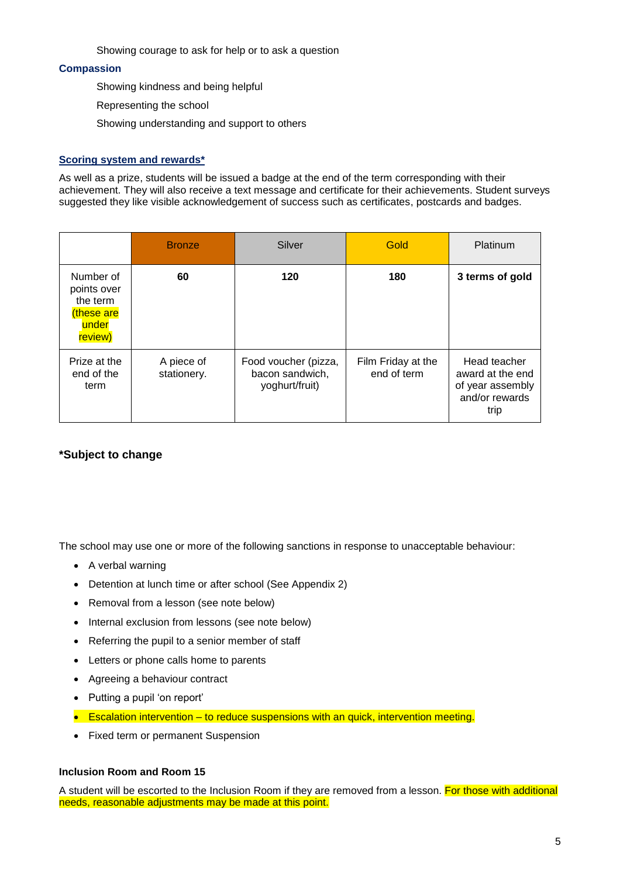Showing courage to ask for help or to ask a question

#### **Compassion**

Showing kindness and being helpful

Representing the school

Showing understanding and support to others

#### **Scoring system and rewards\***

As well as a prize, students will be issued a badge at the end of the term corresponding with their achievement. They will also receive a text message and certificate for their achievements. Student surveys suggested they like visible acknowledgement of success such as certificates, postcards and badges.

|                                                                       | <b>Bronze</b>             | Silver                                                    | Gold                              | Platinum                                                                       |
|-----------------------------------------------------------------------|---------------------------|-----------------------------------------------------------|-----------------------------------|--------------------------------------------------------------------------------|
| Number of<br>points over<br>the term<br>these are<br>under<br>review) | 60                        | 120                                                       | 180                               | 3 terms of gold                                                                |
| Prize at the<br>end of the<br>term                                    | A piece of<br>stationery. | Food voucher (pizza,<br>bacon sandwich,<br>yoghurt/fruit) | Film Friday at the<br>end of term | Head teacher<br>award at the end<br>of year assembly<br>and/or rewards<br>trip |

### **\*Subject to change**

The school may use one or more of the following sanctions in response to unacceptable behaviour:

- A verbal warning
- Detention at lunch time or after school (See Appendix 2)
- Removal from a lesson (see note below)
- Internal exclusion from lessons (see note below)
- Referring the pupil to a senior member of staff
- Letters or phone calls home to parents
- Agreeing a behaviour contract
- Putting a pupil 'on report'
- **Exalation intervention to reduce suspensions with an quick, intervention meeting.**
- Fixed term or permanent Suspension

#### **Inclusion Room and Room 15**

A student will be escorted to the Inclusion Room if they are removed from a lesson. For those with additional needs, reasonable adjustments may be made at this point.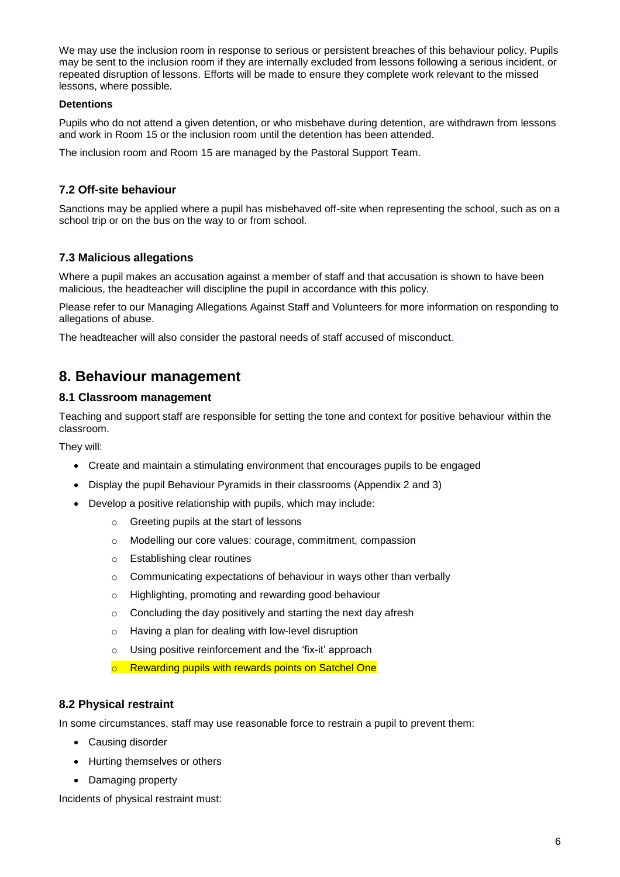We may use the inclusion room in response to serious or persistent breaches of this behaviour policy. Pupils may be sent to the inclusion room if they are internally excluded from lessons following a serious incident, or repeated disruption of lessons. Efforts will be made to ensure they complete work relevant to the missed lessons, where possible.

#### **Detentions**

Pupils who do not attend a given detention, or who misbehave during detention, are withdrawn from lessons and work in Room 15 or the inclusion room until the detention has been attended.

The inclusion room and Room 15 are managed by the Pastoral Support Team.

### **7.2 Off-site behaviour**

Sanctions may be applied where a pupil has misbehaved off-site when representing the school, such as on a school trip or on the bus on the way to or from school.

### **7.3 Malicious allegations**

Where a pupil makes an accusation against a member of staff and that accusation is shown to have been malicious, the headteacher will discipline the pupil in accordance with this policy.

Please refer to our Managing Allegations Against Staff and Volunteers for more information on responding to allegations of abuse.

The headteacher will also consider the pastoral needs of staff accused of misconduct.

### **8. Behaviour management**

### **8.1 Classroom management**

Teaching and support staff are responsible for setting the tone and context for positive behaviour within the classroom.

They will:

- Create and maintain a stimulating environment that encourages pupils to be engaged
- Display the pupil Behaviour Pyramids in their classrooms (Appendix 2 and 3)
- Develop a positive relationship with pupils, which may include:
	- o Greeting pupils at the start of lessons
	- o Modelling our core values: courage, commitment, compassion
	- o Establishing clear routines
	- o Communicating expectations of behaviour in ways other than verbally
	- o Highlighting, promoting and rewarding good behaviour
	- $\circ$  Concluding the day positively and starting the next day afresh
	- o Having a plan for dealing with low-level disruption
	- o Using positive reinforcement and the 'fix-it' approach
	- o Rewarding pupils with rewards points on Satchel One

#### **8.2 Physical restraint**

In some circumstances, staff may use reasonable force to restrain a pupil to prevent them:

- Causing disorder
- Hurting themselves or others
- Damaging property

Incidents of physical restraint must: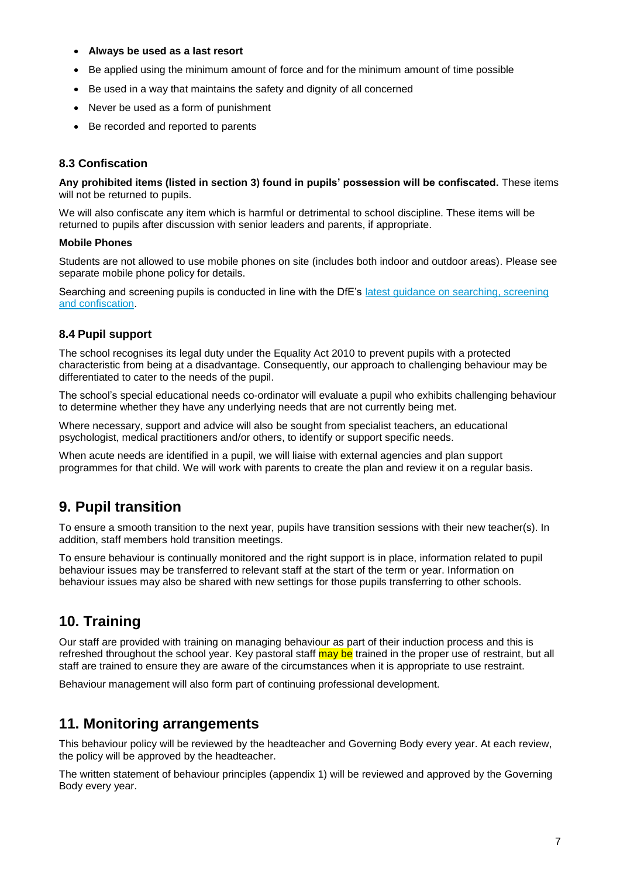- **Always be used as a last resort**
- Be applied using the minimum amount of force and for the minimum amount of time possible
- Be used in a way that maintains the safety and dignity of all concerned
- Never be used as a form of punishment
- Be recorded and reported to parents

### **8.3 Confiscation**

**Any prohibited items (listed in section 3) found in pupils' possession will be confiscated.** These items will not be returned to pupils.

We will also confiscate any item which is harmful or detrimental to school discipline. These items will be returned to pupils after discussion with senior leaders and parents, if appropriate.

#### **Mobile Phones**

Students are not allowed to use mobile phones on site (includes both indoor and outdoor areas). Please see separate mobile phone policy for details.

Searching and screening pupils is conducted in line with the DfE's latest guidance on searching, screening [and confiscation.](https://www.gov.uk/government/publications/searching-screening-and-confiscation)

#### **8.4 Pupil support**

The school recognises its legal duty under the Equality Act 2010 to prevent pupils with a protected characteristic from being at a disadvantage. Consequently, our approach to challenging behaviour may be differentiated to cater to the needs of the pupil.

The school's special educational needs co-ordinator will evaluate a pupil who exhibits challenging behaviour to determine whether they have any underlying needs that are not currently being met.

Where necessary, support and advice will also be sought from specialist teachers, an educational psychologist, medical practitioners and/or others, to identify or support specific needs.

When acute needs are identified in a pupil, we will liaise with external agencies and plan support programmes for that child. We will work with parents to create the plan and review it on a regular basis.

### **9. Pupil transition**

To ensure a smooth transition to the next year, pupils have transition sessions with their new teacher(s). In addition, staff members hold transition meetings.

To ensure behaviour is continually monitored and the right support is in place, information related to pupil behaviour issues may be transferred to relevant staff at the start of the term or year. Information on behaviour issues may also be shared with new settings for those pupils transferring to other schools.

## **10. Training**

Our staff are provided with training on managing behaviour as part of their induction process and this is refreshed throughout the school year. Key pastoral staff may be trained in the proper use of restraint, but all staff are trained to ensure they are aware of the circumstances when it is appropriate to use restraint.

Behaviour management will also form part of continuing professional development.

### **11. Monitoring arrangements**

This behaviour policy will be reviewed by the headteacher and Governing Body every year. At each review, the policy will be approved by the headteacher.

The written statement of behaviour principles (appendix 1) will be reviewed and approved by the Governing Body every year.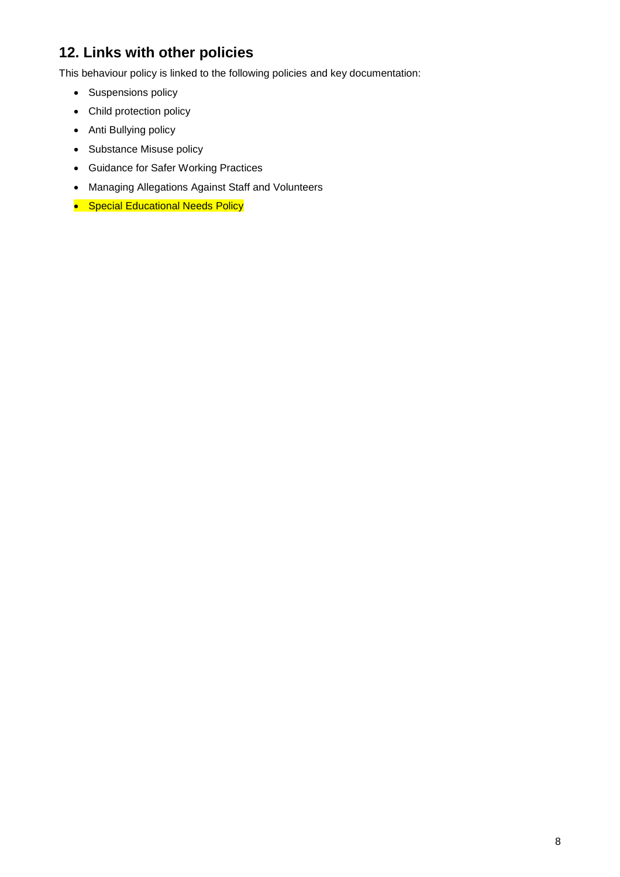# **12. Links with other policies**

This behaviour policy is linked to the following policies and key documentation:

- Suspensions policy
- Child protection policy
- Anti Bullying policy
- Substance Misuse policy
- Guidance for Safer Working Practices
- Managing Allegations Against Staff and Volunteers
- Special Educational Needs Policy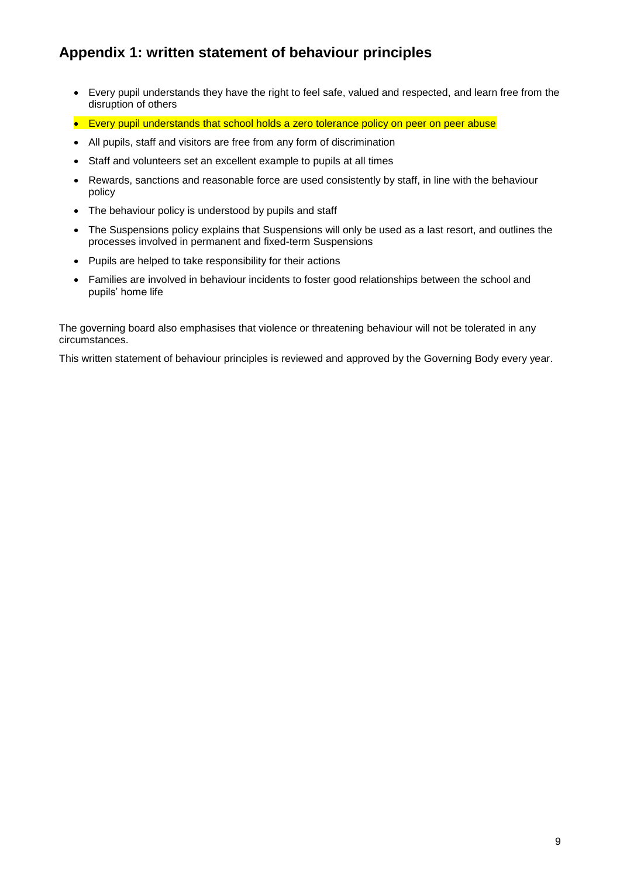## **Appendix 1: written statement of behaviour principles**

- Every pupil understands they have the right to feel safe, valued and respected, and learn free from the disruption of others
- Every pupil understands that school holds a zero tolerance policy on peer on peer abuse
- All pupils, staff and visitors are free from any form of discrimination
- Staff and volunteers set an excellent example to pupils at all times
- Rewards, sanctions and reasonable force are used consistently by staff, in line with the behaviour policy
- The behaviour policy is understood by pupils and staff
- The Suspensions policy explains that Suspensions will only be used as a last resort, and outlines the processes involved in permanent and fixed-term Suspensions
- Pupils are helped to take responsibility for their actions
- Families are involved in behaviour incidents to foster good relationships between the school and pupils' home life

The governing board also emphasises that violence or threatening behaviour will not be tolerated in any circumstances.

This written statement of behaviour principles is reviewed and approved by the Governing Body every year.